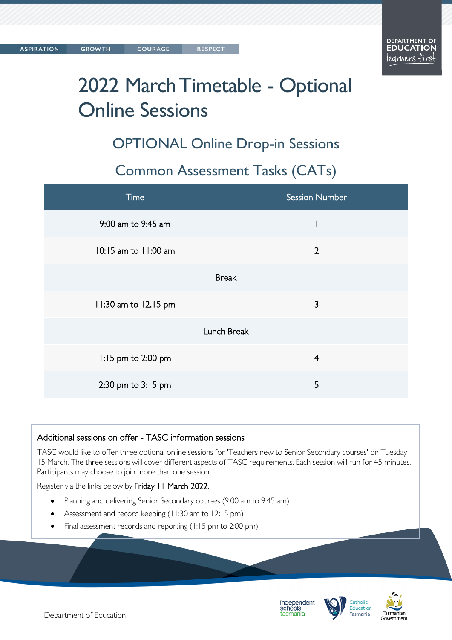# 2022 March Timetable - Optional Online Sessions

OPTIONAL Online Drop-in Sessions

#### Common Assessment Tasks (CATs)

| Time                 | <b>Session Number</b> |
|----------------------|-----------------------|
| 9:00 am to 9:45 am   |                       |
| 10:15 am to 11:00 am | $\overline{2}$        |
| <b>Break</b>         |                       |
| 11:30 am to 12.15 pm | 3                     |
| Lunch Break          |                       |
| 1:15 pm to 2:00 pm   | $\overline{4}$        |
| 2:30 pm to 3:15 pm   | 5                     |

#### Additional sessions on offer - TASC information sessions

TASC would like to offer three optional online sessions for 'Teachers new to Senior Secondary courses' on Tuesday 15 March. The three sessions will cover different aspects of TASC requirements. Each session will run for 45 minutes. Participants may choose to join more than one session.

Register via the links below by Friday 11 March 2022.

- Planning and delivering Senior Secondary courses (9:00 am to 9:45 am)
- Assessment and record keeping (11:30 am to 12:15 pm)
- Final assessment records and reporting (1:15 pm to 2:00 pm)





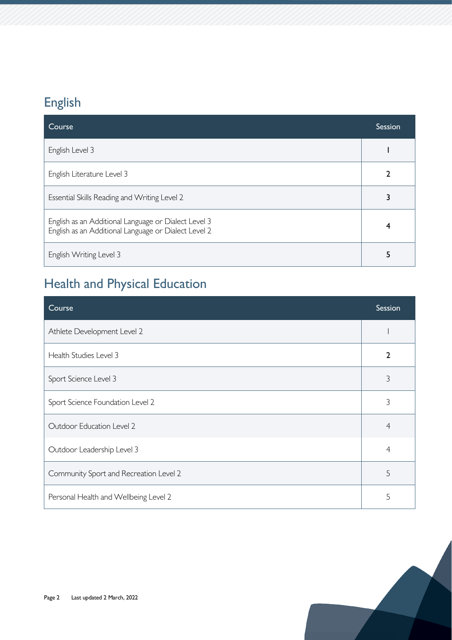# English

| Course                                                                                                       | Session |
|--------------------------------------------------------------------------------------------------------------|---------|
| English Level 3                                                                                              |         |
| English Literature Level 3                                                                                   | 2       |
| Essential Skills Reading and Writing Level 2                                                                 |         |
| English as an Additional Language or Dialect Level 3<br>English as an Additional Language or Dialect Level 2 |         |
| English Writing Level 3                                                                                      |         |

# Health and Physical Education

| Course                                 | Session        |
|----------------------------------------|----------------|
| Athlete Development Level 2            |                |
| Health Studies Level 3                 | $\overline{2}$ |
| Sport Science Level 3                  | 3              |
| Sport Science Foundation Level 2       | 3              |
| Outdoor Education Level 2              | $\overline{4}$ |
| Outdoor Leadership Level 3             | 4              |
| Community Sport and Recreation Level 2 | 5              |
| Personal Health and Wellbeing Level 2  | 5              |

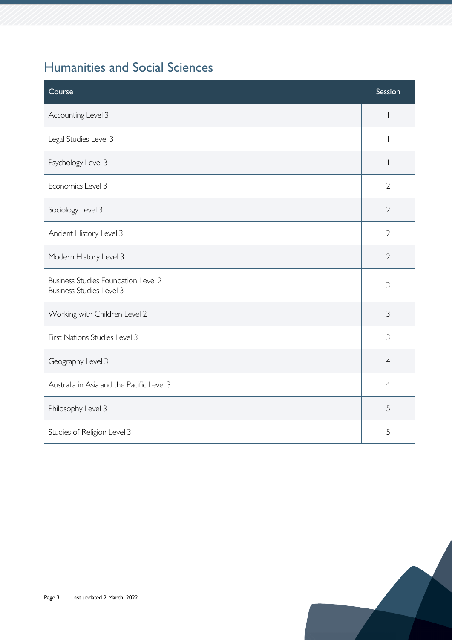#### Humanities and Social Sciences

| Course                                                                        | Session                  |
|-------------------------------------------------------------------------------|--------------------------|
| Accounting Level 3                                                            |                          |
| Legal Studies Level 3                                                         |                          |
| Psychology Level 3                                                            | $\overline{\phantom{a}}$ |
| Economics Level 3                                                             | $\overline{2}$           |
| Sociology Level 3                                                             | $\overline{2}$           |
| Ancient History Level 3                                                       | $\overline{2}$           |
| Modern History Level 3                                                        | $\overline{2}$           |
| <b>Business Studies Foundation Level 2</b><br><b>Business Studies Level 3</b> | 3                        |
| Working with Children Level 2                                                 | $\mathfrak{Z}$           |
| First Nations Studies Level 3                                                 | 3                        |
| Geography Level 3                                                             | $\overline{4}$           |
| Australia in Asia and the Pacific Level 3                                     | $\overline{4}$           |
| Philosophy Level 3                                                            | 5                        |
| Studies of Religion Level 3                                                   | 5                        |

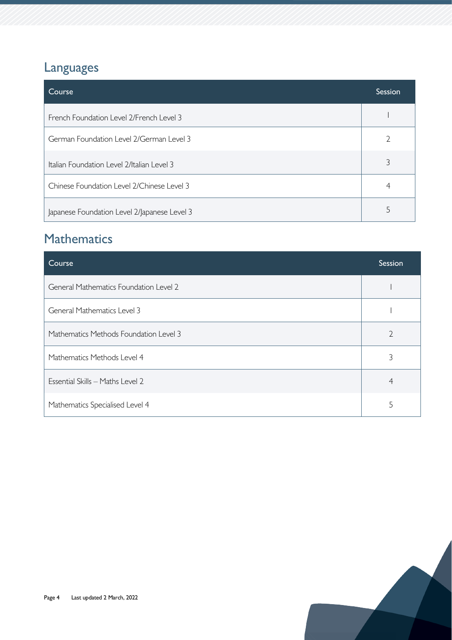### Languages

| Course                                       | <b>Session</b> |
|----------------------------------------------|----------------|
| French Foundation Level 2/French Level 3     |                |
| German Foundation Level 2/German Level 3     |                |
| Italian Foundation Level 2/Italian Level 3   |                |
| Chinese Foundation Level 2/Chinese Level 3   | 4              |
| Japanese Foundation Level 2/Japanese Level 3 |                |

#### **Mathematics**

| Course                                        | Session       |
|-----------------------------------------------|---------------|
| <b>General Mathematics Foundation Level 2</b> |               |
| <b>General Mathematics Level 3</b>            |               |
| Mathematics Methods Foundation Level 3        | $\mathcal{D}$ |
| Mathematics Methods Level 4                   | 3             |
| Essential Skills - Maths Level 2              | 4             |
| Mathematics Specialised Level 4               | 5             |

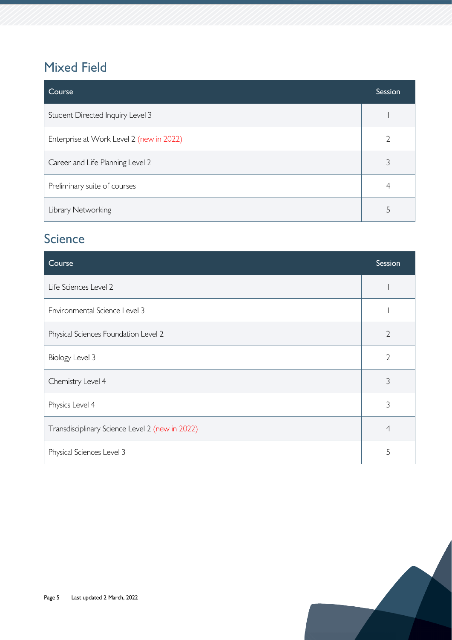#### Mixed Field

| Course                                   | Session |
|------------------------------------------|---------|
| Student Directed Inquiry Level 3         |         |
| Enterprise at Work Level 2 (new in 2022) |         |
| Career and Life Planning Level 2         |         |
| Preliminary suite of courses             |         |
| Library Networking                       |         |

#### **Science**

| Course                                          | Session        |
|-------------------------------------------------|----------------|
| Life Sciences Level 2                           |                |
| Environmental Science Level 3                   |                |
| Physical Sciences Foundation Level 2            | $\overline{2}$ |
| Biology Level 3                                 | $\overline{2}$ |
| Chemistry Level 4                               | 3              |
| Physics Level 4                                 | 3              |
| Transdisciplinary Science Level 2 (new in 2022) | $\overline{4}$ |
| Physical Sciences Level 3                       | 5              |

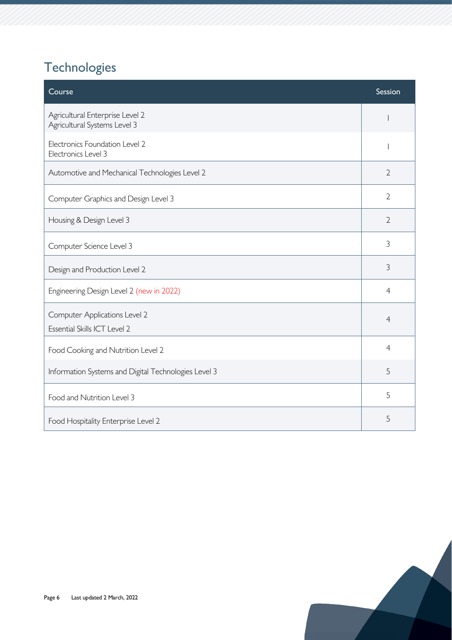# **Technologies**

| Course                                                          | Session        |
|-----------------------------------------------------------------|----------------|
| Agricultural Enterprise Level 2<br>Agricultural Systems Level 3 |                |
| Electronics Foundation Level 2<br>Electronics Level 3           |                |
| Automotive and Mechanical Technologies Level 2                  | $\overline{2}$ |
| Computer Graphics and Design Level 3                            | $\overline{2}$ |
| Housing & Design Level 3                                        | $\overline{2}$ |
| Computer Science Level 3                                        | 3              |
| Design and Production Level 2                                   | 3              |
| Engineering Design Level 2 (new in 2022)                        | $\overline{4}$ |
| Computer Applications Level 2<br>Essential Skills ICT Level 2   | $\overline{4}$ |
| Food Cooking and Nutrition Level 2                              | $\overline{4}$ |
| Information Systems and Digital Technologies Level 3            | 5              |
| Food and Nutrition Level 3                                      | 5              |
| Food Hospitality Enterprise Level 2                             | 5              |

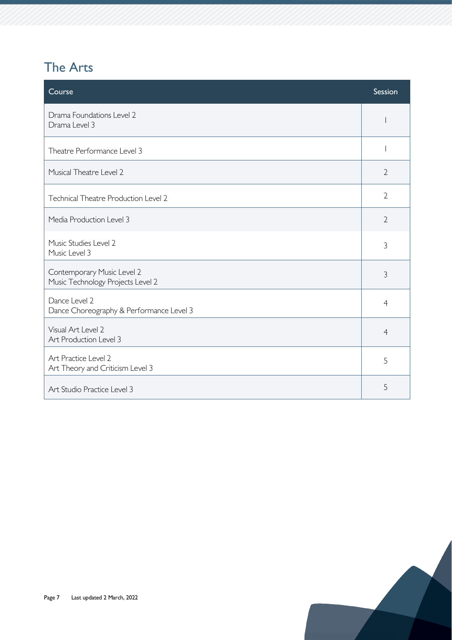### The Arts

| Course                                                          | Session        |
|-----------------------------------------------------------------|----------------|
| Drama Foundations Level 2<br>Drama Level 3                      |                |
| Theatre Performance Level 3                                     |                |
| Musical Theatre Level 2                                         | $\overline{2}$ |
| <b>Technical Theatre Production Level 2</b>                     | $\overline{2}$ |
| Media Production Level 3                                        | $\overline{2}$ |
| Music Studies Level 2<br>Music Level 3                          | 3              |
| Contemporary Music Level 2<br>Music Technology Projects Level 2 | $\mathfrak{Z}$ |
| Dance Level 2<br>Dance Choreography & Performance Level 3       | $\overline{4}$ |
| Visual Art Level 2<br>Art Production Level 3                    | $\overline{4}$ |
| Art Practice Level 2<br>Art Theory and Criticism Level 3        | 5              |
| Art Studio Practice Level 3                                     | 5              |